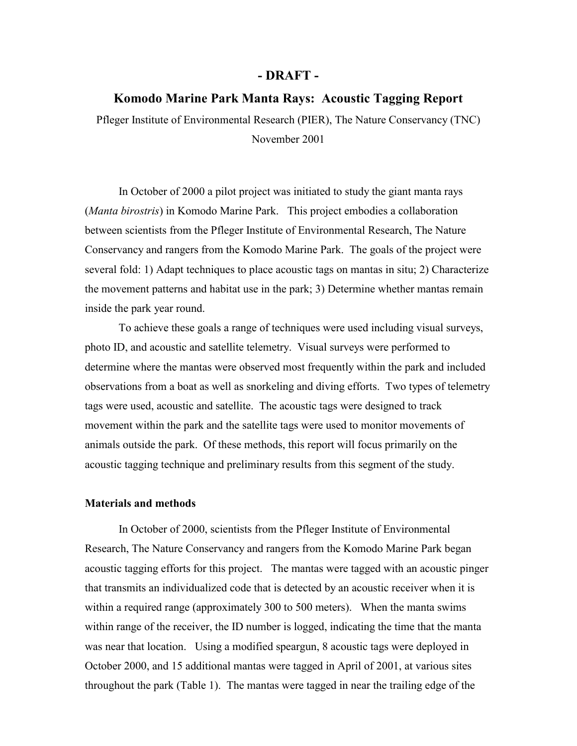### **- DRAFT -**

# **Komodo Marine Park Manta Rays: Acoustic Tagging Report**

Pfleger Institute of Environmental Research (PIER), The Nature Conservancy (TNC) November 2001

In October of 2000 a pilot project was initiated to study the giant manta rays (*Manta birostris*) in Komodo Marine Park. This project embodies a collaboration between scientists from the Pfleger Institute of Environmental Research, The Nature Conservancy and rangers from the Komodo Marine Park. The goals of the project were several fold: 1) Adapt techniques to place acoustic tags on mantas in situ; 2) Characterize the movement patterns and habitat use in the park; 3) Determine whether mantas remain inside the park year round.

To achieve these goals a range of techniques were used including visual surveys, photo ID, and acoustic and satellite telemetry. Visual surveys were performed to determine where the mantas were observed most frequently within the park and included observations from a boat as well as snorkeling and diving efforts. Two types of telemetry tags were used, acoustic and satellite. The acoustic tags were designed to track movement within the park and the satellite tags were used to monitor movements of animals outside the park. Of these methods, this report will focus primarily on the acoustic tagging technique and preliminary results from this segment of the study.

# **Materials and methods**

In October of 2000, scientists from the Pfleger Institute of Environmental Research, The Nature Conservancy and rangers from the Komodo Marine Park began acoustic tagging efforts for this project. The mantas were tagged with an acoustic pinger that transmits an individualized code that is detected by an acoustic receiver when it is within a required range (approximately 300 to 500 meters). When the manta swims within range of the receiver, the ID number is logged, indicating the time that the manta was near that location. Using a modified speargun, 8 acoustic tags were deployed in October 2000, and 15 additional mantas were tagged in April of 2001, at various sites throughout the park (Table 1). The mantas were tagged in near the trailing edge of the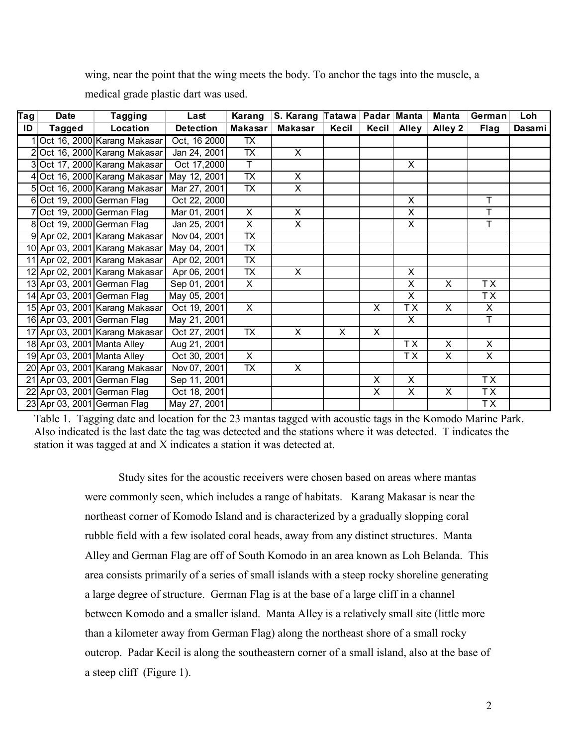wing, near the point that the wing meets the body. To anchor the tags into the muscle, a

medical grade plastic dart was used.

| Tag | Date                        | Tagging                        | Last             | Karang                   | S. Karang Tatawa        |       | Padar Manta    |                         | <b>Manta</b> | German                  | <b>Loh</b> |
|-----|-----------------------------|--------------------------------|------------------|--------------------------|-------------------------|-------|----------------|-------------------------|--------------|-------------------------|------------|
| ID  | <b>Tagged</b>               | Location                       | <b>Detection</b> | <b>Makasar</b>           | <b>Makasar</b>          | Kecil | Kecil          | Alley                   | Alley 2      | <b>Flag</b>             | Dasami     |
|     |                             | Oct 16, 2000 Karang Makasar    | Oct, 16 2000     | <b>TX</b>                |                         |       |                |                         |              |                         |            |
|     |                             | 2Oct 16, 2000 Karang Makasar   | Jan 24, 2001     | $\overline{TX}$          | $\overline{X}$          |       |                |                         |              |                         |            |
|     |                             | 3Oct 17, 2000 Karang Makasar   | Oct 17,2000      | $\overline{\top}$        |                         |       |                | X                       |              |                         |            |
|     |                             | 4 Oct 16, 2000 Karang Makasar  | May 12, 2001     | $\overline{\mathsf{TX}}$ | $\overline{\mathsf{x}}$ |       |                |                         |              |                         |            |
|     |                             | 5 Oct 16, 2000 Karang Makasar  | Mar 27, 2001     | $\overline{TX}$          | $\overline{X}$          |       |                |                         |              |                         |            |
|     |                             | 6 Oct 19, 2000 German Flag     | Oct 22, 2000     |                          |                         |       |                | $\overline{\mathsf{x}}$ |              | T                       |            |
|     |                             | 7 Oct 19, 2000 German Flag     | Mar 01, 2001     | $\overline{\mathsf{x}}$  | $\overline{\mathsf{x}}$ |       |                | $\overline{\mathsf{x}}$ |              | T                       |            |
|     |                             | 8 Oct 19, 2000 German Flag     | Jan 25, 2001     | $\overline{\mathsf{x}}$  | $\overline{\mathsf{x}}$ |       |                | $\overline{\mathsf{x}}$ |              | Ŧ                       |            |
|     |                             | 9 Apr 02, 2001 Karang Makasar  | Nov 04, 2001     | $\overline{\mathsf{TX}}$ |                         |       |                |                         |              |                         |            |
|     |                             | 10 Apr 03, 2001 Karang Makasar | May 04, 2001     | $\overline{TX}$          |                         |       |                |                         |              |                         |            |
|     |                             | 11 Apr 02, 2001 Karang Makasar | Apr 02, 2001     | $\overline{TX}$          |                         |       |                |                         |              |                         |            |
|     |                             | 12 Apr 02, 2001 Karang Makasar | Apr 06, 2001     | $\overline{TX}$          | $\mathsf{X}$            |       |                | X                       |              |                         |            |
|     |                             | 13 Apr 03, 2001 German Flag    | Sep 01, 2001     | $\times$                 |                         |       |                | X                       | $\times$     | TX                      |            |
|     |                             | 14 Apr 03, 2001 German Flag    | May 05, 2001     |                          |                         |       |                | $\overline{\mathsf{x}}$ |              | TX                      |            |
|     |                             | 15 Apr 03, 2001 Karang Makasar | Oct 19, 2001     | $\overline{X}$           |                         |       | X              | TX                      | X            | X                       |            |
|     |                             | 16 Apr 03, 2001 German Flag    | May 21, 2001     |                          |                         |       |                | X                       |              | т                       |            |
|     |                             | 17 Apr 03, 2001 Karang Makasar | Oct 27, 2001     | <b>TX</b>                | X                       | X     | X              |                         |              |                         |            |
|     | 18 Apr 03, 2001 Manta Alley |                                | Aug 21, 2001     |                          |                         |       |                | TX                      | X            | $\overline{\mathsf{x}}$ |            |
|     | 19 Apr 03, 2001 Manta Alley |                                | Oct 30, 2001     | X                        |                         |       |                | T X                     | X            | X                       |            |
|     |                             | 20 Apr 03, 2001 Karang Makasar | Nov 07, 2001     | <b>TX</b>                | X                       |       |                |                         |              |                         |            |
|     |                             | 21 Apr 03, 2001 German Flag    | Sep 11, 2001     |                          |                         |       | X              | $\overline{\mathsf{x}}$ |              | TX                      |            |
|     |                             | 22 Apr 03, 2001 German Flag    | Oct 18, 2001     |                          |                         |       | $\overline{X}$ | $\overline{\mathsf{x}}$ | X            | $\overline{TX}$         |            |
|     |                             | 23 Apr 03, 2001 German Flag    | May 27, 2001     |                          |                         |       |                |                         |              | TX                      |            |

Table 1. Tagging date and location for the 23 mantas tagged with acoustic tags in the Komodo Marine Park. Also indicated is the last date the tag was detected and the stations where it was detected. T indicates the station it was tagged at and X indicates a station it was detected at.

> Study sites for the acoustic receivers were chosen based on areas where mantas were commonly seen, which includes a range of habitats. Karang Makasar is near the northeast corner of Komodo Island and is characterized by a gradually slopping coral rubble field with a few isolated coral heads, away from any distinct structures. Manta Alley and German Flag are off of South Komodo in an area known as Loh Belanda. This area consists primarily of a series of small islands with a steep rocky shoreline generating a large degree of structure. German Flag is at the base of a large cliff in a channel between Komodo and a smaller island. Manta Alley is a relatively small site (little more than a kilometer away from German Flag) along the northeast shore of a small rocky outcrop. Padar Kecil is along the southeastern corner of a small island, also at the base of a steep cliff (Figure 1).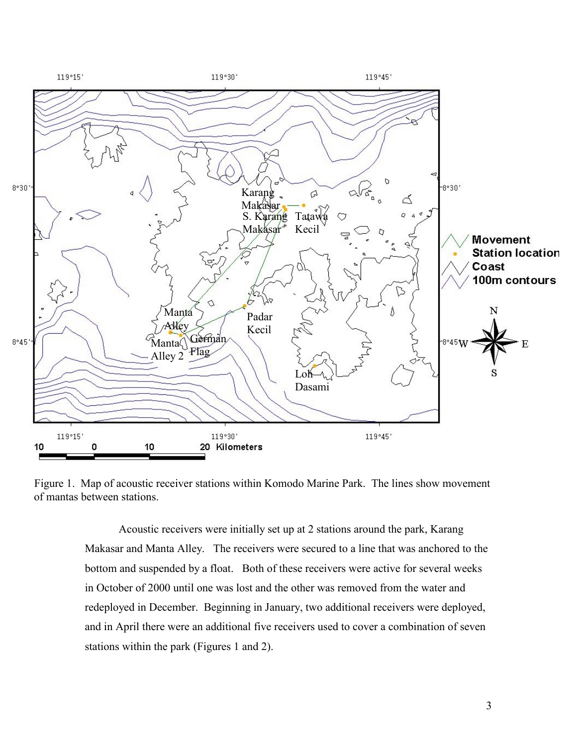

Figure 1. Map of acoustic receiver stations within Komodo Marine Park. The lines show movement of mantas between stations.

Acoustic receivers were initially set up at 2 stations around the park, Karang Makasar and Manta Alley. The receivers were secured to a line that was anchored to the bottom and suspended by a float. Both of these receivers were active for several weeks in October of 2000 until one was lost and the other was removed from the water and redeployed in December. Beginning in January, two additional receivers were deployed, and in April there were an additional five receivers used to cover a combination of seven stations within the park (Figures 1 and 2).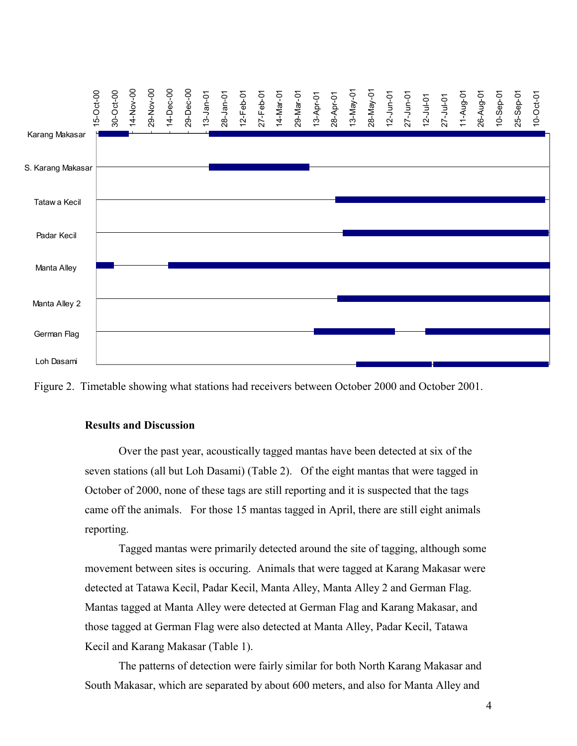

Figure 2. Timetable showing what stations had receivers between October 2000 and October 2001.

# **Results and Discussion**

Over the past year, acoustically tagged mantas have been detected at six of the seven stations (all but Loh Dasami) (Table 2). Of the eight mantas that were tagged in October of 2000, none of these tags are still reporting and it is suspected that the tags came off the animals. For those 15 mantas tagged in April, there are still eight animals reporting.

Tagged mantas were primarily detected around the site of tagging, although some movement between sites is occuring. Animals that were tagged at Karang Makasar were detected at Tatawa Kecil, Padar Kecil, Manta Alley, Manta Alley 2 and German Flag. Mantas tagged at Manta Alley were detected at German Flag and Karang Makasar, and those tagged at German Flag were also detected at Manta Alley, Padar Kecil, Tatawa Kecil and Karang Makasar (Table 1).

The patterns of detection were fairly similar for both North Karang Makasar and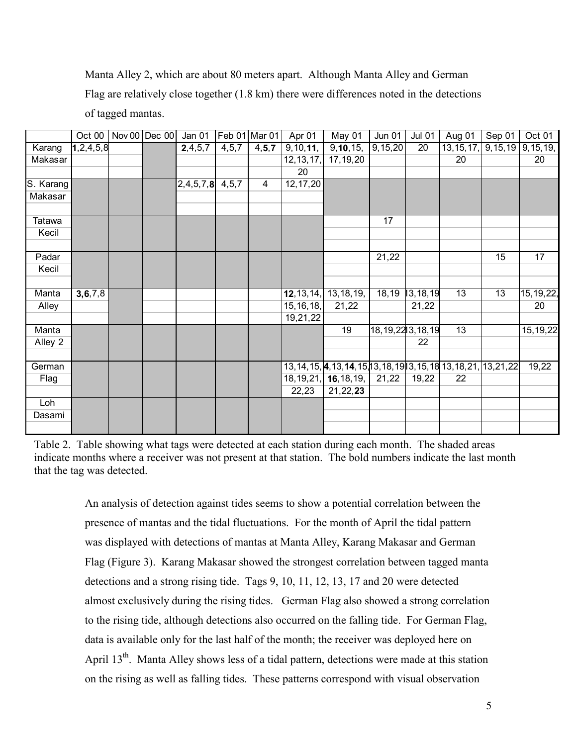Manta Alley 2, which are about 80 meters apart. Although Manta Alley and German Flag are relatively close together (1.8 km) there were differences noted in the detections of tagged mantas.

|           | $\overline{Oct}$ 00 | Nov 00 Dec 00 | Jan 01    |         | Feb 01 Mar 01 | Apr 01      | May 01                                                                  | <b>Jun 01</b>        | Jul $01$        | Aug 01                             | Sep 01 | Oct 01      |
|-----------|---------------------|---------------|-----------|---------|---------------|-------------|-------------------------------------------------------------------------|----------------------|-----------------|------------------------------------|--------|-------------|
| Karang    | 1, 2, 4, 5, 8       |               | 2,4,5,7   | 4, 5, 7 | 4, 5, 7       | 9, 10, 11,  | 9, 10, 15,                                                              | 9,15,20              | $\overline{20}$ | $13, 15, 17,$ 9, 15, 19 9, 15, 19, |        |             |
| Makasar   |                     |               |           |         |               | 12, 13, 17, | 17, 19, 20                                                              |                      |                 | 20                                 |        | 20          |
|           |                     |               |           |         |               | 20          |                                                                         |                      |                 |                                    |        |             |
| S. Karang |                     |               | 2,4,5,7,8 | 4, 5, 7 | 4             | 12, 17, 20  |                                                                         |                      |                 |                                    |        |             |
| Makasar   |                     |               |           |         |               |             |                                                                         |                      |                 |                                    |        |             |
|           |                     |               |           |         |               |             |                                                                         |                      |                 |                                    |        |             |
| Tatawa    |                     |               |           |         |               |             |                                                                         | 17                   |                 |                                    |        |             |
| Kecil     |                     |               |           |         |               |             |                                                                         |                      |                 |                                    |        |             |
|           |                     |               |           |         |               |             |                                                                         |                      |                 |                                    |        |             |
| Padar     |                     |               |           |         |               |             |                                                                         | 21,22                |                 |                                    | 15     | 17          |
| Kecil     |                     |               |           |         |               |             |                                                                         |                      |                 |                                    |        |             |
|           |                     |               |           |         |               |             |                                                                         |                      |                 |                                    |        |             |
| Manta     | 3, 6, 7, 8          |               |           |         |               |             | 12, 13, 14, 13, 18, 19,                                                 | 18,19                | 13, 18, 19      | 13                                 | 13     | 15, 19, 22, |
| Alley     |                     |               |           |         |               | 15, 16, 18, | 21,22                                                                   |                      | 21,22           |                                    |        | 20          |
|           |                     |               |           |         |               | 19,21,22    |                                                                         |                      |                 |                                    |        |             |
| Manta     |                     |               |           |         |               |             | 19                                                                      | 18, 19, 22 3, 18, 19 |                 | 13                                 |        | 15, 19, 22  |
| Alley 2   |                     |               |           |         |               |             |                                                                         |                      | 22              |                                    |        |             |
|           |                     |               |           |         |               |             |                                                                         |                      |                 |                                    |        |             |
| German    |                     |               |           |         |               |             | 13, 14, 15, 4, 13, 14, 15, 13, 18, 19 13, 15, 18 13, 18, 21, 13, 21, 22 |                      |                 |                                    |        | 19,22       |
| Flag      |                     |               |           |         |               |             | 18, 19, 21, 16, 18, 19,                                                 | 21,22                | 19,22           | 22                                 |        |             |
|           |                     |               |           |         |               | 22,23       | 21,22,23                                                                |                      |                 |                                    |        |             |
| Loh       |                     |               |           |         |               |             |                                                                         |                      |                 |                                    |        |             |
| Dasami    |                     |               |           |         |               |             |                                                                         |                      |                 |                                    |        |             |
|           |                     |               |           |         |               |             |                                                                         |                      |                 |                                    |        |             |

Table 2. Table showing what tags were detected at each station during each month. The shaded areas indicate months where a receiver was not present at that station. The bold numbers indicate the last month that the tag was detected.

> An analysis of detection against tides seems to show a potential correlation between the presence of mantas and the tidal fluctuations. For the month of April the tidal pattern was displayed with detections of mantas at Manta Alley, Karang Makasar and German Flag (Figure 3). Karang Makasar showed the strongest correlation between tagged manta detections and a strong rising tide. Tags 9, 10, 11, 12, 13, 17 and 20 were detected almost exclusively during the rising tides. German Flag also showed a strong correlation to the rising tide, although detections also occurred on the falling tide. For German Flag, data is available only for the last half of the month; the receiver was deployed here on April 13<sup>th</sup>. Manta Alley shows less of a tidal pattern, detections were made at this station on the rising as well as falling tides. These patterns correspond with visual observation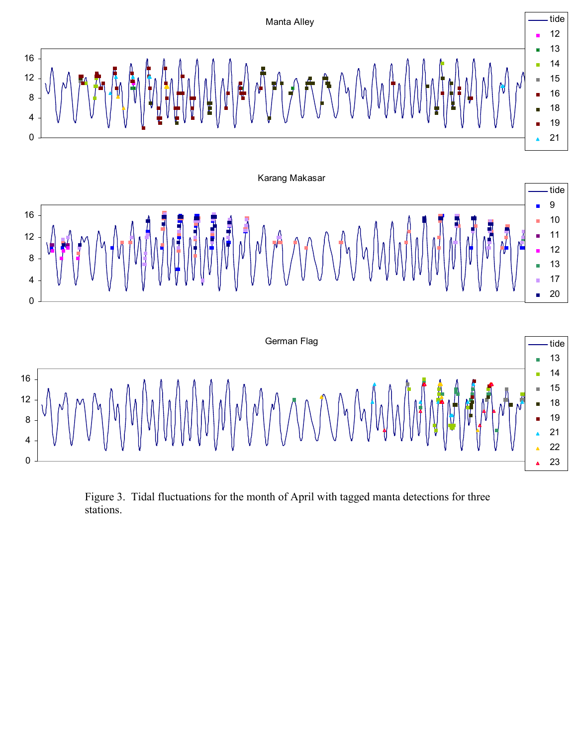

Figure 3. Tidal fluctuations for the month of April with tagged manta detections for three stations.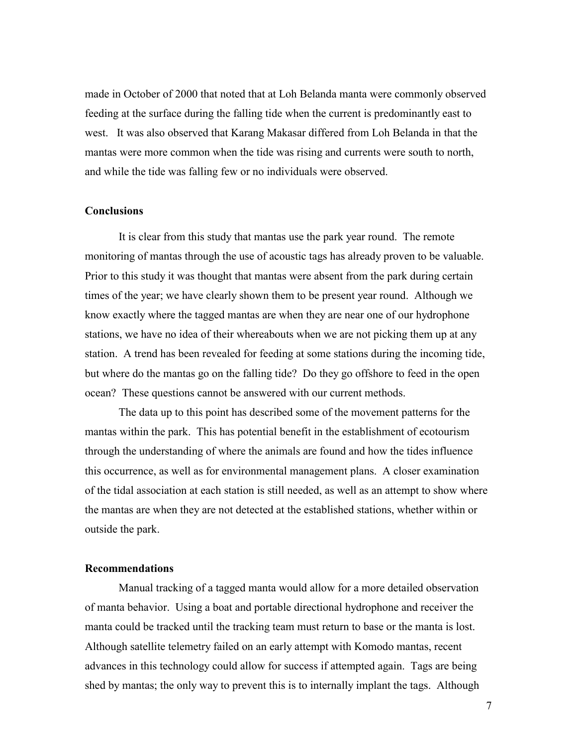made in October of 2000 that noted that at Loh Belanda manta were commonly observed feeding at the surface during the falling tide when the current is predominantly east to west. It was also observed that Karang Makasar differed from Loh Belanda in that the mantas were more common when the tide was rising and currents were south to north, and while the tide was falling few or no individuals were observed.

### **Conclusions**

It is clear from this study that mantas use the park year round. The remote monitoring of mantas through the use of acoustic tags has already proven to be valuable. Prior to this study it was thought that mantas were absent from the park during certain times of the year; we have clearly shown them to be present year round. Although we know exactly where the tagged mantas are when they are near one of our hydrophone stations, we have no idea of their whereabouts when we are not picking them up at any station. A trend has been revealed for feeding at some stations during the incoming tide, but where do the mantas go on the falling tide? Do they go offshore to feed in the open ocean? These questions cannot be answered with our current methods.

 The data up to this point has described some of the movement patterns for the mantas within the park. This has potential benefit in the establishment of ecotourism through the understanding of where the animals are found and how the tides influence this occurrence, as well as for environmental management plans. A closer examination of the tidal association at each station is still needed, as well as an attempt to show where the mantas are when they are not detected at the established stations, whether within or outside the park.

### **Recommendations**

 Manual tracking of a tagged manta would allow for a more detailed observation of manta behavior. Using a boat and portable directional hydrophone and receiver the manta could be tracked until the tracking team must return to base or the manta is lost. Although satellite telemetry failed on an early attempt with Komodo mantas, recent advances in this technology could allow for success if attempted again. Tags are being shed by mantas; the only way to prevent this is to internally implant the tags. Although